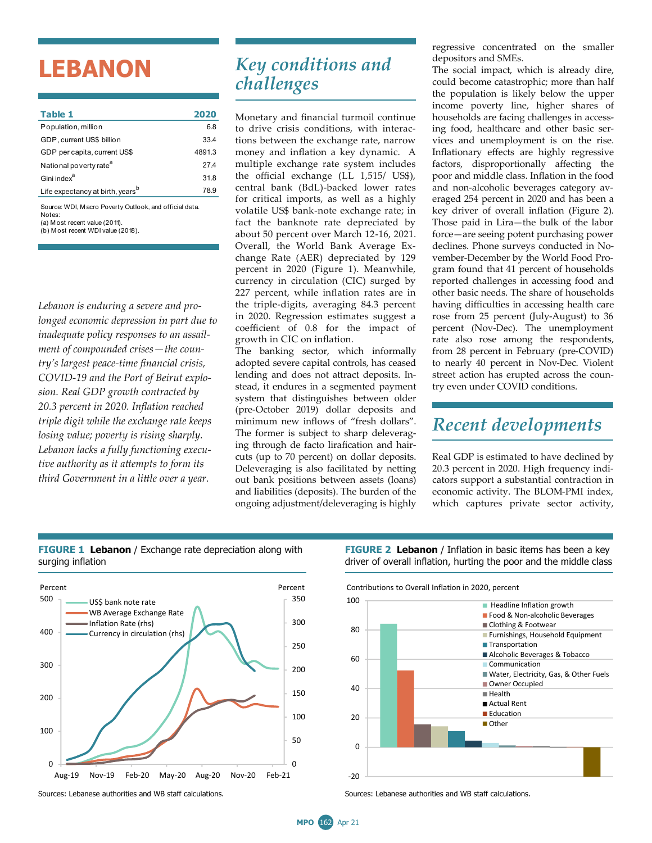## **LEBANON**

| Table 1                                                          | 2020   |
|------------------------------------------------------------------|--------|
| Population, million                                              | 6.8    |
| GDP, current US\$ billion                                        | 33.4   |
| GDP per capita, current US\$                                     | 4891.3 |
| National poverty rate <sup>a</sup>                               | 274    |
| Gini index <sup>a</sup>                                          | 31.8   |
| Life expectancy at birth, years <sup>b</sup>                     | 78.9   |
| Source: WDI. Macro Poverty Outlook, and official data.<br>Notes: |        |

(a) M ost recent value (2011).

(b) M ost recent WDI value (2018).

*Lebanon is enduring a severe and prolonged economic depression in part due to inadequate policy responses to an assailment of compounded crises—the country's largest peace-time financial crisis, COVID-19 and the Port of Beirut explosion. Real GDP growth contracted by 20.3 percent in 2020. Inflation reached triple digit while the exchange rate keeps losing value; poverty is rising sharply. Lebanon lacks a fully functioning executive authority as it attempts to form its third Government in a little over a year.* 

## *Key conditions and challenges*

Monetary and financial turmoil continue to drive crisis conditions, with interactions between the exchange rate, narrow money and inflation a key dynamic. A multiple exchange rate system includes the official exchange (LL 1,515/ US\$), central bank (BdL)-backed lower rates for critical imports, as well as a highly volatile US\$ bank-note exchange rate; in fact the banknote rate depreciated by about 50 percent over March 12-16, 2021. Overall, the World Bank Average Exchange Rate (AER) depreciated by 129 percent in 2020 (Figure 1). Meanwhile, currency in circulation (CIC) surged by 227 percent, while inflation rates are in the triple-digits, averaging 84.3 percent in 2020. Regression estimates suggest a coefficient of 0.8 for the impact of growth in CIC on inflation.

The banking sector, which informally adopted severe capital controls, has ceased lending and does not attract deposits. Instead, it endures in a segmented payment system that distinguishes between older (pre-October 2019) dollar deposits and minimum new inflows of "fresh dollars". The former is subject to sharp deleveraging through de facto lirafication and haircuts (up to 70 percent) on dollar deposits. Deleveraging is also facilitated by netting out bank positions between assets (loans) and liabilities (deposits). The burden of the ongoing adjustment/deleveraging is highly

regressive concentrated on the smaller depositors and SMEs.

The social impact, which is already dire, could become catastrophic; more than half the population is likely below the upper income poverty line, higher shares of households are facing challenges in accessing food, healthcare and other basic services and unemployment is on the rise. Inflationary effects are highly regressive factors, disproportionally affecting the poor and middle class. Inflation in the food and non-alcoholic beverages category averaged 254 percent in 2020 and has been a key driver of overall inflation (Figure 2). Those paid in Lira—the bulk of the labor force—are seeing potent purchasing power declines. Phone surveys conducted in November-December by the World Food Program found that 41 percent of households reported challenges in accessing food and other basic needs. The share of households having difficulties in accessing health care rose from 25 percent (July-August) to 36 percent (Nov-Dec). The unemployment rate also rose among the respondents, from 28 percent in February (pre-COVID) to nearly 40 percent in Nov-Dec. Violent street action has erupted across the country even under COVID conditions.

## *Recent developments*

Real GDP is estimated to have declined by 20.3 percent in 2020. High frequency indicators support a substantial contraction in economic activity. The BLOM-PMI index, which captures private sector activity,





**FIGURE 2 Lebanon** / Inflation in basic items has been a key driver of overall inflation, hurting the poor and the middle class



Sources: Lebanese authorities and WB staff calculations. Sources: Lebanese authorities and WB staff calculations.

**MPO** 162 Apr 21